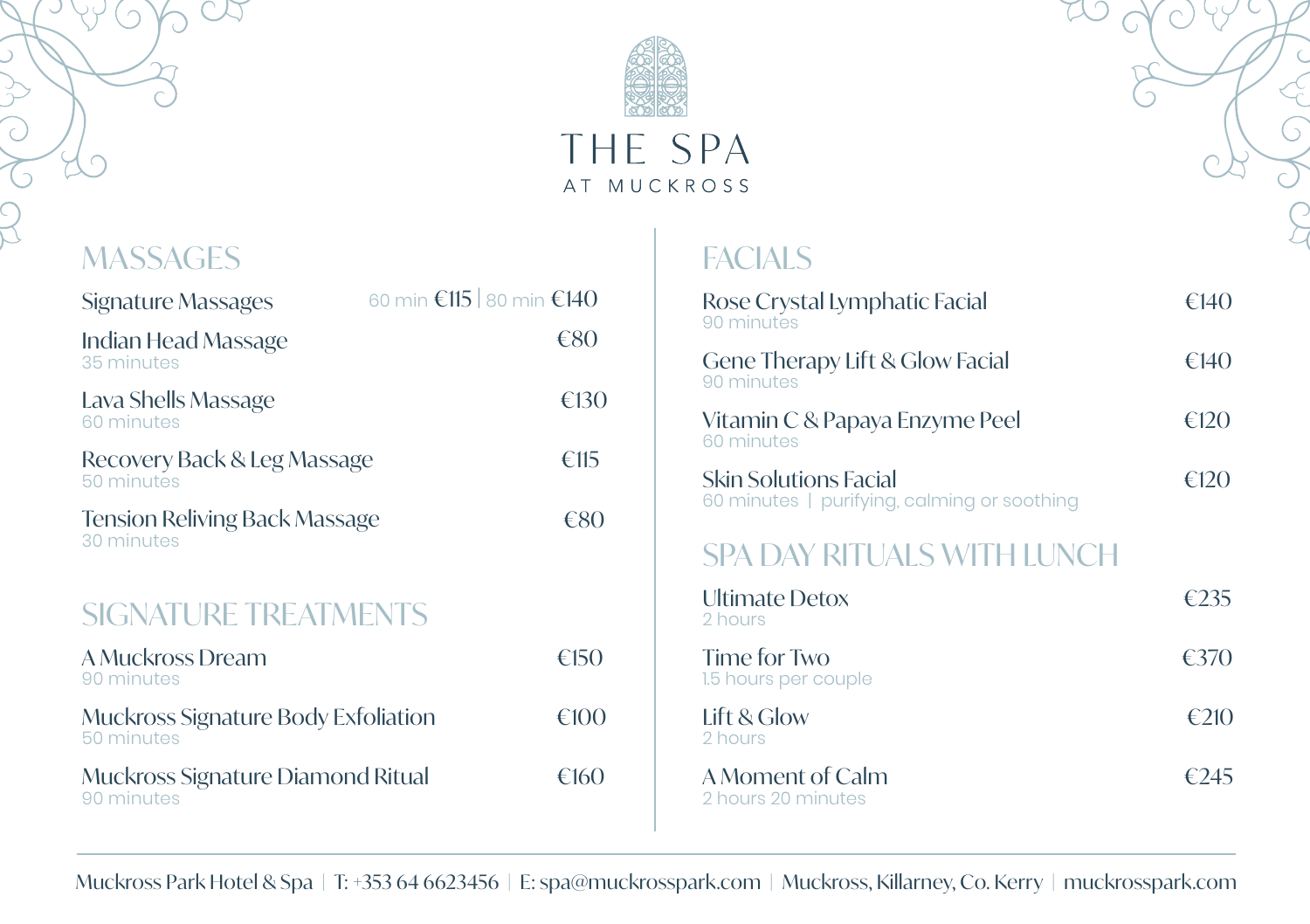

# THE SPA AT MUCKROSS

**MASSAGES** 

| Signature Massages                                 | 60 min €115 80 min €140 |
|----------------------------------------------------|-------------------------|
| Indian Head Massage<br>35 minutes                  | €80                     |
| Lava Shells Massage<br>60 minutes                  | €130                    |
| Recovery Back & Leg Massage<br>50 minutes          | €115                    |
| <b>Tension Reliving Back Massage</b><br>30 minutes | €80                     |
| <b>SIGNATURE TREATMENTS</b>                        |                         |
| A Muckross Dream<br>90 minutes                     | €150                    |
| Muckross Signature Body Exfoliation<br>50 minutes  | €100                    |
| Muckross Signature Diamond Ritual<br>90 minutes    | €160                    |

# **FACIALS**

| Rose Crystal Lymphatic Facial<br>90 minutes                                 | €14()  |
|-----------------------------------------------------------------------------|--------|
| Gene Therapy Lift & Glow Facial<br>90 minutes                               | €14()  |
| Vitamin C & Papaya Enzyme Peel<br>60 minutes                                | f(120) |
| <b>Skin Solutions Facial</b><br>60 minutes   purifying, calming or soothing | f(120) |

## SPA DAY RITUALS WITH LUNCH

| Ultimate Detox<br>2 hours              | €735    |
|----------------------------------------|---------|
| Time for Two<br>1.5 hours per couple   | $E$ 370 |
| Lift & Glow<br>2 hours                 | €210    |
| A Moment of Calm<br>2 hours 20 minutes | €245    |